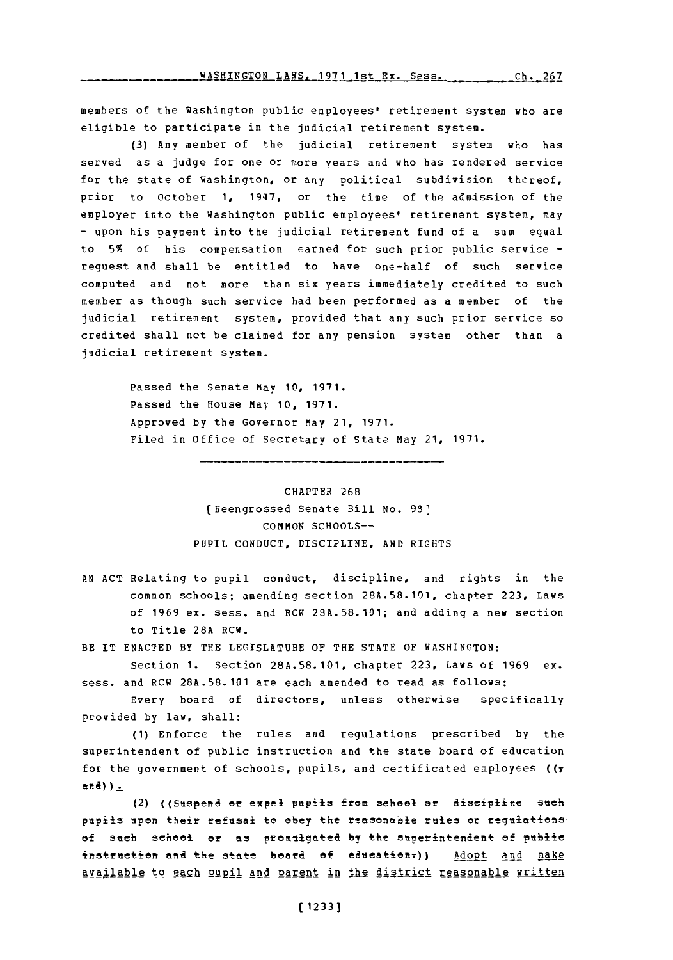WASHINGTON **LAWS, 1971** 1st Ex. Sess. **Ch. 267**

members of the Washington public employees' retirement system who are eligible to participate in the judicial retirement system.

**(3)** Any member of the judicial retirement system who has served as a judge for one or more years and who has rendered service for the state of Washington, or any political subdivision thereof, prior to October **1,** 1947, or the time of the admission of the employer into the Washington public employees' retirement system, may **-** upon his payment into the judicial retirement fund of a sum equal to **5%** of his compensation earned for such prior public service  request and shall be entitled to have one-half of such service computed and not more than six years immediately credited to such member as though such service had been performed as a member of the judicial retirement system, provided that any such prior service so credited shall not be claimed for any pension system other than a judicial retirement system.

> Passed the Senate May **10, 1971.** Passed the House May **10, 1971.** Approved **by** the Governor May 21, **1971.** Filed in office of Secretary of State May 21, **1971.**

> > CHAPTER **268** (Reengrossed Senate Bill No. **981 COMMON SCHOOLS-**PUPIL **CONDUCT,** DISCIPLINE, **AND** RIGHTS

---------

**AN ACT** Relating to pupil conduct, discipline, and rights in the common schools; amending section **28A.58.101,** chapter **223,** Laws of **1969** ex. sess. and RCW **23A.58.101;** and adding a new section to Title **28A** RCW.

BE IT **ENACTED** BY THE LEGISLATURE OF THE **STATE** OF WASHINGTON:

section **1.** Section **28A.58.101,** chapter **223,** Laws of **1969** ex. sess. and RCW **28A.58. 101** are each amended to read as follows:

Every board of directors, unless otherwise specifically provided **by** law, shall:

**(1)** Enforce the rules and regulations prescribed **by** the superintendent of public instruction and the state board of education for the government of schools, pupils, and certificated employees ((r and)  $\frac{1}{2}$ 

(2) ((Suspend or expel pupils from school or discipline such pupils upon their refusal to obey the reasonable rules or regulations of such school or as promulgated by the superintendent of public instruction and the state board of education<sub>r</sub>)) **Adopt** and make available to each pupil and parent in the district reasonable written